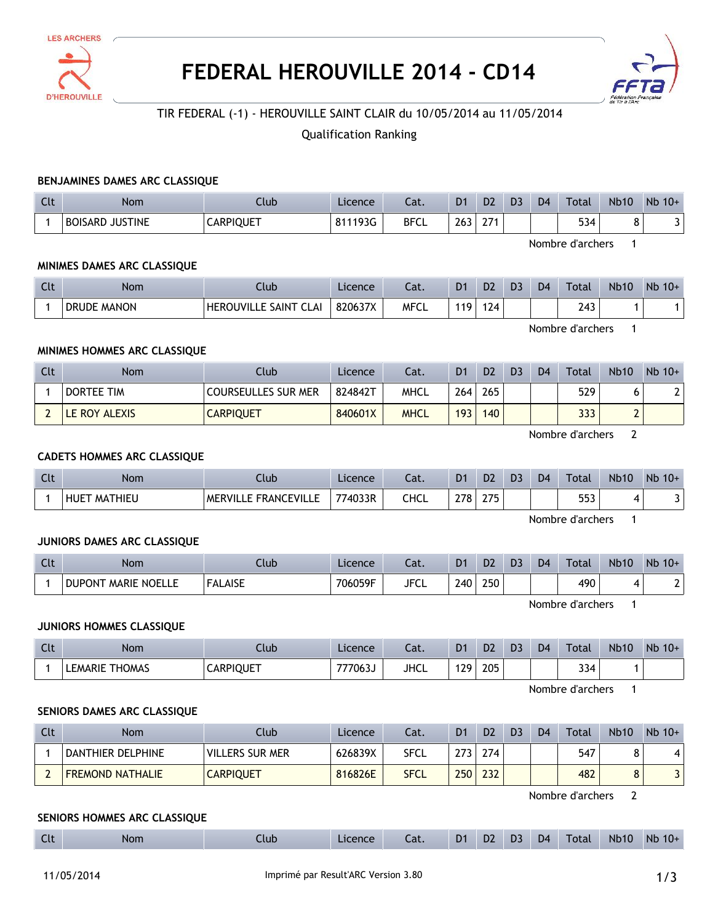

# **FEDERAL HEROUVILLE 2014 - CD14**



## TIR FEDERAL (-1) - HEROUVILLE SAINT CLAIR du 10/05/2014 au 11/05/2014

## Qualification Ranking

#### **BENJAMINES DAMES ARC CLASSIQUE**

| Clt | <b>Nom</b>                       | Ilub             | Licence | Lat.        | D <sub>1</sub> | D <sub>2</sub> | D <sub>3</sub> | D <sub>4</sub> | Total | <b>Nb10</b> | Nb<br>$10+$ |
|-----|----------------------------------|------------------|---------|-------------|----------------|----------------|----------------|----------------|-------|-------------|-------------|
|     | <b>JUSTINE</b><br><b>BOISARD</b> | <b>CARPIQUET</b> | 811193G | <b>BFCL</b> | 263            | $\sim$<br>LI.  |                |                | 534   |             | J           |

Nombre d'archers 1

#### **MINIMES DAMES ARC CLASSIQUE**

| Clt | <b>Nom</b>         | lub.                                                  | Licence | Lat.        | D <sub>1</sub> | D2  | D. | D <sub>4</sub> | <b>Total</b>                          | <b>Nb10</b> | $Nb$ 10+ |
|-----|--------------------|-------------------------------------------------------|---------|-------------|----------------|-----|----|----------------|---------------------------------------|-------------|----------|
|     | <b>DRUDE MANON</b> | <b>HEROUVILLE</b><br><b>SAINT</b><br>$\sim$<br>. CLAI | 820637X | <b>MFCL</b> | 110            | 124 |    |                | $\overline{\phantom{a}}$<br>′ 4<br>τυ |             |          |

Nombre d'archers 1

#### **MINIMES HOMMES ARC CLASSIQUE**

| Clt | <b>Nom</b>    | Club                       | Licence | Cat.        | D1  | D <sub>2</sub>   | D <sub>3</sub> | D <sub>4</sub> | <b>Total</b> | <b>Nb10</b> | $Nb$ 10+ |
|-----|---------------|----------------------------|---------|-------------|-----|------------------|----------------|----------------|--------------|-------------|----------|
|     | DORTEE TIM    | <b>COURSEULLES SUR MER</b> | 824842T | <b>MHCL</b> | 264 | 265              |                |                | 529          |             |          |
|     | LE ROY ALEXIS | <b>CARPIQUET</b>           | 840601X | <b>MHCL</b> | 193 | 140 <sub>1</sub> |                |                | 333          |             |          |

Nombre d'archers 2

#### **CADETS HOMMES ARC CLASSIQUE**

| Clt | <b>Nom</b>      | Club                                   | Licence | ۵t.  | D1  | D <sub>2</sub> | D <sub>3</sub> | D <sub>4</sub> | $\tau$ otal | <b>Nb10</b> | Nb<br>$10+$ |
|-----|-----------------|----------------------------------------|---------|------|-----|----------------|----------------|----------------|-------------|-------------|-------------|
|     | MATHIEU<br>HUET | <b>E FRANCEVILLL</b><br><b>MERVILL</b> | 774033R | CHCL | 278 | つフド<br>21 J    |                |                | 553         |             |             |

Nombre d'archers 1

#### **JUNIORS DAMES ARC CLASSIQUE**

| $\Gamma$<br><b>LU</b> | <b>Nom</b>                                     | Club           | Licence | Lat.        | D <sub>1</sub> | D <sub>2</sub> | D3 | D <sub>4</sub> | Total | <b>Nb10</b> | Nb<br>$10+$ |
|-----------------------|------------------------------------------------|----------------|---------|-------------|----------------|----------------|----|----------------|-------|-------------|-------------|
|                       | <b>DUPONT</b><br><b>MARIE</b><br><b>NOELLE</b> | <b>FALAISE</b> | 706059F | <b>JFCL</b> | 240            | 250            |    |                | 490   |             |             |

Nombre d'archers 1

#### **JUNIORS HOMMES CLASSIQUE**

| Clt | <b>Nom</b>                 | .lub             | Licence | Cat.        | D <sub>1</sub> | D <sub>2</sub> | D <sub>3</sub> | D <sub>4</sub> | <b>Total</b> | <b>Nb10</b> | Nb<br>$10+$ |
|-----|----------------------------|------------------|---------|-------------|----------------|----------------|----------------|----------------|--------------|-------------|-------------|
|     | <b>THOMAS</b><br>LEMARIE 1 | <b>CARPIQUET</b> | 777063  | <b>JHCL</b> | 129            | 205            |                |                | 334          |             |             |

Nombre d'archers 1

#### **SENIORS DAMES ARC CLASSIQUE**

| Clt | Nom                     | Club             | Licence | Cat.        | D1  | D <sub>2</sub> | D <sub>3</sub> | D <sub>4</sub> | Total | Nb10 | $Nb$ 10+ |
|-----|-------------------------|------------------|---------|-------------|-----|----------------|----------------|----------------|-------|------|----------|
|     | DANTHIER DELPHINE       | Villers sur mer  | 626839X | SFCL        | 273 | 274            |                |                | 547   |      |          |
|     | <b>FREMOND NATHALIE</b> | <b>CARPIQUET</b> | 816826E | <b>SFCL</b> | 250 | 232            |                |                | 482   | u    |          |

Nombre d'archers 2

#### **SENIORS HOMMES ARC CLASSIQUE**

| $\sim$<br>D <sub>2</sub><br><b>Nb</b><br>D <sub>4</sub><br>D <sub>1</sub><br><b>Nb10</b><br><b>Total</b><br>$10+$<br>D3<br>Licence<br><b>Nom</b><br>Llub<br>$\sim$<br>cal.<br>๛. |
|----------------------------------------------------------------------------------------------------------------------------------------------------------------------------------|
|----------------------------------------------------------------------------------------------------------------------------------------------------------------------------------|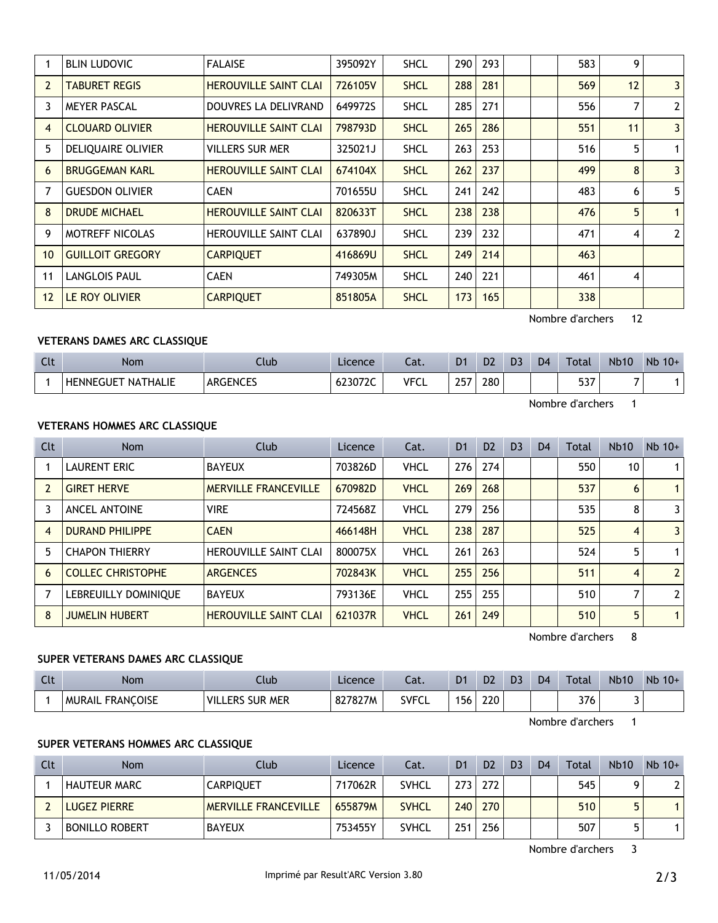|                   | <b>BLIN LUDOVIC</b>     | <b>FALAISE</b>               | 395092Y | <b>SHCL</b> | 290 | 293 |  | 583 | 9  |                |
|-------------------|-------------------------|------------------------------|---------|-------------|-----|-----|--|-----|----|----------------|
| 2                 | <b>TABURET REGIS</b>    | <b>HEROUVILLE SAINT CLAI</b> | 726105V | <b>SHCL</b> | 288 | 281 |  | 569 | 12 | $\overline{3}$ |
| 3                 | <b>MEYER PASCAL</b>     | DOUVRES LA DELIVRAND         | 649972S | <b>SHCL</b> | 285 | 271 |  | 556 | 7  | $\overline{2}$ |
| $\overline{4}$    | <b>CLOUARD OLIVIER</b>  | <b>HEROUVILLE SAINT CLAI</b> | 798793D | <b>SHCL</b> | 265 | 286 |  | 551 | 11 | $\overline{3}$ |
| 5                 | DELIQUAIRE OLIVIER      | <b>VILLERS SUR MER</b>       | 325021J | <b>SHCL</b> | 263 | 253 |  | 516 | 5  | 1              |
| 6                 | <b>BRUGGEMAN KARL</b>   | <b>HEROUVILLE SAINT CLAI</b> | 674104X | <b>SHCL</b> | 262 | 237 |  | 499 | 8  | $\overline{3}$ |
|                   | <b>GUESDON OLIVIER</b>  | <b>CAEN</b>                  | 701655U | <b>SHCL</b> | 241 | 242 |  | 483 | 6  | 5              |
| 8                 | <b>DRUDE MICHAEL</b>    | <b>HEROUVILLE SAINT CLAI</b> | 820633T | <b>SHCL</b> | 238 | 238 |  | 476 | 5  | $\mathbf{1}$   |
| 9                 | <b>MOTREFF NICOLAS</b>  | <b>HEROUVILLE SAINT CLAI</b> | 637890J | <b>SHCL</b> | 239 | 232 |  | 471 | 4  | $\overline{2}$ |
| 10 <sup>°</sup>   | <b>GUILLOIT GREGORY</b> | <b>CARPIQUET</b>             | 416869U | <b>SHCL</b> | 249 | 214 |  | 463 |    |                |
| 11                | <b>LANGLOIS PAUL</b>    | <b>CAEN</b>                  | 749305M | <b>SHCL</b> | 240 | 221 |  | 461 | 4  |                |
| $12 \overline{ }$ | LE ROY OLIVIER          | <b>CARPIQUET</b>             | 851805A | <b>SHCL</b> | 173 | 165 |  | 338 |    |                |

Nombre d'archers 12

## **VETERANS DAMES ARC CLASSIQUE**

| C14<br> | <b>Nom</b>                          | Club            | Licence | - 1<br>-al. | D <sub>1</sub>   | D <sub>2</sub> | D? | D <sub>4</sub> | Total             | <b>Nb10</b> | Nb<br>$10+$ |
|---------|-------------------------------------|-----------------|---------|-------------|------------------|----------------|----|----------------|-------------------|-------------|-------------|
|         | <b>HENNEGUET</b><br><b>NATHALIE</b> | <b>ARGENCES</b> | 623072C | <b>VFCL</b> | つらつ<br><b>LJ</b> | 280            |    |                | <b>FOT</b><br>ונכ | $\sim$      |             |

Nombre d'archers 1

## **VETERANS HOMMES ARC CLASSIQUE**

| Clt | <b>Nom</b>               | Club                         | Licence | Cat.        | D <sub>1</sub> | D <sub>2</sub> | D <sub>3</sub> | D <sub>4</sub> | Total | <b>Nb10</b> | $Nb$ 10+       |
|-----|--------------------------|------------------------------|---------|-------------|----------------|----------------|----------------|----------------|-------|-------------|----------------|
|     | <b>LAURENT ERIC</b>      | <b>BAYEUX</b>                | 703826D | <b>VHCL</b> | 276            | 274            |                |                | 550   | 10          | 1              |
|     | <b>GIRET HERVE</b>       | <b>MERVILLE FRANCEVILLE</b>  | 670982D | <b>VHCL</b> | 269            | 268            |                |                | 537   | 6           |                |
|     | <b>ANCEL ANTOINE</b>     | <b>VIRE</b>                  | 724568Z | <b>VHCL</b> | 279            | 256            |                |                | 535   | 8           | $\overline{3}$ |
| 4   | <b>DURAND PHILIPPE</b>   | <b>CAEN</b>                  | 466148H | <b>VHCL</b> | 238            | 287            |                |                | 525   | 4           | $\overline{3}$ |
| 5   | <b>CHAPON THIERRY</b>    | <b>HEROUVILLE SAINT CLAI</b> | 800075X | <b>VHCL</b> | 261            | 263            |                |                | 524   | 5           |                |
| 6   | <b>COLLEC CHRISTOPHE</b> | <b>ARGENCES</b>              | 702843K | <b>VHCL</b> | 255            | 256            |                |                | 511   | 4           | 2 <sup>1</sup> |
|     | LEBREUILLY DOMINIQUE     | <b>BAYEUX</b>                | 793136E | <b>VHCL</b> | 255            | 255            |                |                | 510   |             | 2 <sup>1</sup> |
| 8   | <b>JUMELIN HUBERT</b>    | <b>HEROUVILLE SAINT CLAI</b> | 621037R | <b>VHCL</b> | 261            | 249            |                |                | 510   | 5           |                |

Nombre d'archers 8

## **SUPER VETERANS DAMES ARC CLASSIQUE**

| Clt | <b>Nom</b>                        | .lub                             | Licence | Cat.         | D <sub>1</sub> | D <sub>2</sub> | D <sub>3</sub> | D <sub>4</sub> | Total | <b>Nb10</b> | Nb<br>$10+$ |
|-----|-----------------------------------|----------------------------------|---------|--------------|----------------|----------------|----------------|----------------|-------|-------------|-------------|
|     | <b>FRANCOISE</b><br><b>MURAIL</b> | <b>SUR MER</b><br><b>VILLERS</b> | 827827M | <b>SVFCL</b> | 156            | 220            |                |                | 376   |             |             |

Nombre d'archers 1

## **SUPER VETERANS HOMMES ARC CLASSIQUE**

| Clt | Nom                   | Club <sup>1</sup>           | Licence | Cat.         | D <sub>1</sub> | D <sub>2</sub> | D <sub>3</sub> | D <sub>4</sub> | Total | <b>Nb10</b> | $Nb$ 10+ |
|-----|-----------------------|-----------------------------|---------|--------------|----------------|----------------|----------------|----------------|-------|-------------|----------|
|     | <b>HAUTEUR MARC</b>   | <b>CARPIQUET</b>            | 717062R | <b>SVHCL</b> | 273            | 272            |                |                | 545   |             |          |
|     | <b>LUGEZ PIERRE</b>   | <b>MERVILLE FRANCEVILLE</b> | 655879M | <b>SVHCL</b> | 240            | 270            |                |                | 510   |             |          |
|     | <b>BONILLO ROBERT</b> | <b>BAYEUX</b>               | 753455Y | <b>SVHCL</b> | 251            | 256            |                |                | 507   |             |          |

Nombre d'archers 3